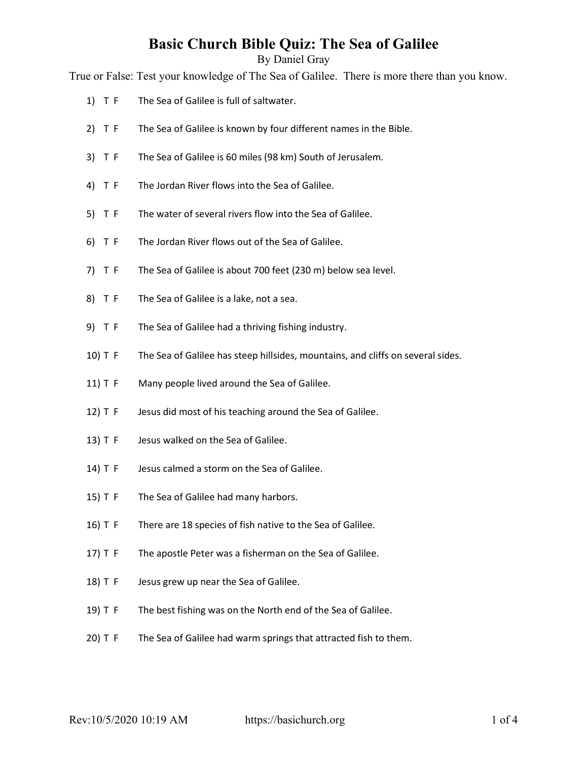By Daniel Gray

True or False: Test your knowledge of The Sea of Galilee. There is more there than you know.

- 1) T F The Sea of Galilee is full of saltwater.
- 2) T F The Sea of Galilee is known by four different names in the Bible.
- 3) T F The Sea of Galilee is 60 miles (98 km) South of Jerusalem.
- 4) T F The Jordan River flows into the Sea of Galilee.
- 5) T F The water of several rivers flow into the Sea of Galilee.
- 6) T F The Jordan River flows out of the Sea of Galilee.
- 7) T F The Sea of Galilee is about 700 feet (230 m) below sea level.
- 8) T F The Sea of Galilee is a lake, not a sea.
- 9) T F The Sea of Galilee had a thriving fishing industry.
- 10) T F The Sea of Galilee has steep hillsides, mountains, and cliffs on several sides.
- 11) T F Many people lived around the Sea of Galilee.
- 12) T F Jesus did most of his teaching around the Sea of Galilee.
- 13) T F Jesus walked on the Sea of Galilee.
- 14) T F Jesus calmed a storm on the Sea of Galilee.
- 15) T F The Sea of Galilee had many harbors.
- 16) T F There are 18 species of fish native to the Sea of Galilee.
- 17) T F The apostle Peter was a fisherman on the Sea of Galilee.
- 18) T F Jesus grew up near the Sea of Galilee.
- 19) T F The best fishing was on the North end of the Sea of Galilee.
- 20) T F The Sea of Galilee had warm springs that attracted fish to them.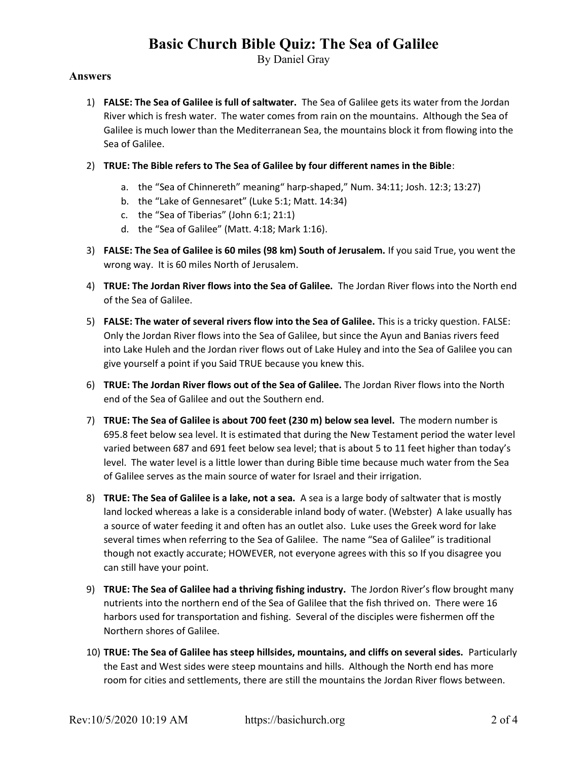By Daniel Gray

### Answers

- 1) FALSE: The Sea of Galilee is full of saltwater. The Sea of Galilee gets its water from the Jordan River which is fresh water. The water comes from rain on the mountains. Although the Sea of Galilee is much lower than the Mediterranean Sea, the mountains block it from flowing into the Sea of Galilee.
- 2) TRUE: The Bible refers to The Sea of Galilee by four different names in the Bible:
	- a. the "Sea of Chinnereth" meaning" harp-shaped," Num. 34:11; Josh. 12:3; 13:27)
	- b. the "Lake of Gennesaret" (Luke 5:1; Matt. 14:34)
	- c. the "Sea of Tiberias" (John 6:1; 21:1)
	- d. the "Sea of Galilee" (Matt. 4:18; Mark 1:16).
- 3) FALSE: The Sea of Galilee is 60 miles (98 km) South of Jerusalem. If you said True, you went the wrong way. It is 60 miles North of Jerusalem.
- 4) TRUE: The Jordan River flows into the Sea of Galilee. The Jordan River flows into the North end of the Sea of Galilee.
- 5) FALSE: The water of several rivers flow into the Sea of Galilee. This is a tricky question. FALSE: Only the Jordan River flows into the Sea of Galilee, but since the Ayun and Banias rivers feed into Lake Huleh and the Jordan river flows out of Lake Huley and into the Sea of Galilee you can give yourself a point if you Said TRUE because you knew this.
- 6) TRUE: The Jordan River flows out of the Sea of Galilee. The Jordan River flows into the North end of the Sea of Galilee and out the Southern end.
- 7) TRUE: The Sea of Galilee is about 700 feet (230 m) below sea level. The modern number is 695.8 feet below sea level. It is estimated that during the New Testament period the water level varied between 687 and 691 feet below sea level; that is about 5 to 11 feet higher than today's level. The water level is a little lower than during Bible time because much water from the Sea of Galilee serves as the main source of water for Israel and their irrigation.
- 8) TRUE: The Sea of Galilee is a lake, not a sea. A sea is a large body of saltwater that is mostly land locked whereas a lake is a considerable inland body of water. (Webster) A lake usually has a source of water feeding it and often has an outlet also. Luke uses the Greek word for lake several times when referring to the Sea of Galilee. The name "Sea of Galilee" is traditional though not exactly accurate; HOWEVER, not everyone agrees with this so If you disagree you can still have your point.
- 9) TRUE: The Sea of Galilee had a thriving fishing industry. The Jordon River's flow brought many nutrients into the northern end of the Sea of Galilee that the fish thrived on. There were 16 harbors used for transportation and fishing. Several of the disciples were fishermen off the Northern shores of Galilee.
- 10) TRUE: The Sea of Galilee has steep hillsides, mountains, and cliffs on several sides. Particularly the East and West sides were steep mountains and hills. Although the North end has more room for cities and settlements, there are still the mountains the Jordan River flows between.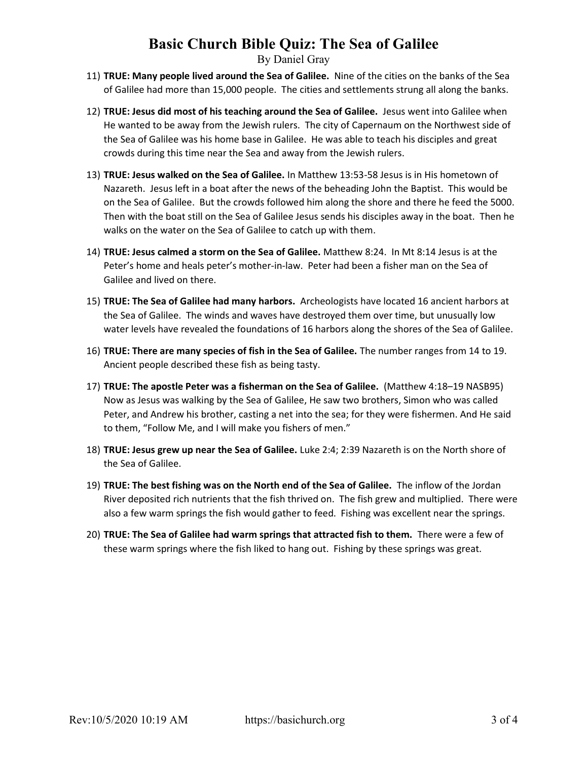By Daniel Gray

- 11) TRUE: Many people lived around the Sea of Galilee. Nine of the cities on the banks of the Sea of Galilee had more than 15,000 people. The cities and settlements strung all along the banks.
- 12) TRUE: Jesus did most of his teaching around the Sea of Galilee. Jesus went into Galilee when He wanted to be away from the Jewish rulers. The city of Capernaum on the Northwest side of the Sea of Galilee was his home base in Galilee. He was able to teach his disciples and great crowds during this time near the Sea and away from the Jewish rulers.
- 13) TRUE: Jesus walked on the Sea of Galilee. In Matthew 13:53-58 Jesus is in His hometown of Nazareth. Jesus left in a boat after the news of the beheading John the Baptist. This would be on the Sea of Galilee. But the crowds followed him along the shore and there he feed the 5000. Then with the boat still on the Sea of Galilee Jesus sends his disciples away in the boat. Then he walks on the water on the Sea of Galilee to catch up with them.
- 14) TRUE: Jesus calmed a storm on the Sea of Galilee. Matthew 8:24. In Mt 8:14 Jesus is at the Peter's home and heals peter's mother-in-law. Peter had been a fisher man on the Sea of Galilee and lived on there.
- 15) TRUE: The Sea of Galilee had many harbors. Archeologists have located 16 ancient harbors at the Sea of Galilee. The winds and waves have destroyed them over time, but unusually low water levels have revealed the foundations of 16 harbors along the shores of the Sea of Galilee.
- 16) TRUE: There are many species of fish in the Sea of Galilee. The number ranges from 14 to 19. Ancient people described these fish as being tasty.
- 17) TRUE: The apostle Peter was a fisherman on the Sea of Galilee. (Matthew 4:18–19 NASB95) Now as Jesus was walking by the Sea of Galilee, He saw two brothers, Simon who was called Peter, and Andrew his brother, casting a net into the sea; for they were fishermen. And He said to them, "Follow Me, and I will make you fishers of men."
- 18) TRUE: Jesus grew up near the Sea of Galilee. Luke 2:4; 2:39 Nazareth is on the North shore of the Sea of Galilee.
- 19) TRUE: The best fishing was on the North end of the Sea of Galilee. The inflow of the Jordan River deposited rich nutrients that the fish thrived on. The fish grew and multiplied. There were also a few warm springs the fish would gather to feed. Fishing was excellent near the springs.
- 20) TRUE: The Sea of Galilee had warm springs that attracted fish to them. There were a few of these warm springs where the fish liked to hang out. Fishing by these springs was great.